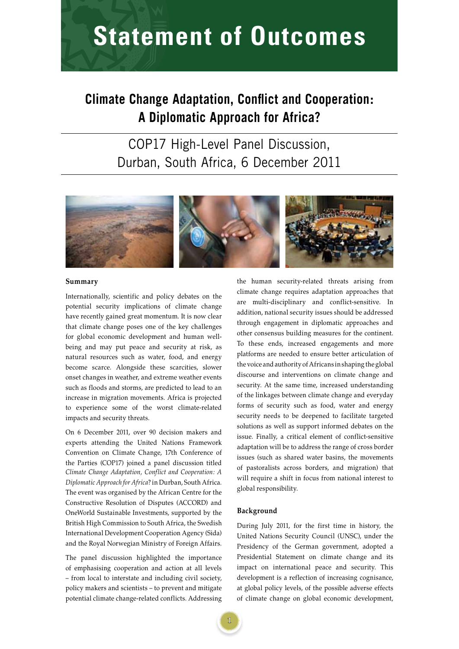# **STATEMENT OF ULITEOMES Statement of Outcomes**

# **Climate Change Adaptation, Conflict and Cooperation: A Diplomatic Approach for Africa?**

# COP17 High-Level Panel Discussion, Durban, South Africa, 6 December 2011



### **Summary**

Internationally, scientific and policy debates on the potential security implications of climate change have recently gained great momentum. It is now clear that climate change poses one of the key challenges for global economic development and human wellbeing and may put peace and security at risk, as natural resources such as water, food, and energy become scarce. Alongside these scarcities, slower onset changes in weather, and extreme weather events such as floods and storms, are predicted to lead to an increase in migration movements. Africa is projected to experience some of the worst climate-related impacts and security threats.

On 6 December 2011, over 90 decision makers and experts attending the United Nations Framework Convention on Climate Change, 17th Conference of the Parties (COP17) joined a panel discussion titled *Climate Change Adaptation, Conflict and Cooperation: A Diplomatic Approach for Africa*? in Durban, South Africa. The event was organised by the African Centre for the Constructive Resolution of Disputes (ACCORD) and OneWorld Sustainable Investments, supported by the British High Commission to South Africa, the Swedish International Development Cooperation Agency (Sida) and the Royal Norwegian Ministry of Foreign Affairs.

The panel discussion highlighted the importance of emphasising cooperation and action at all levels – from local to interstate and including civil society, policy makers and scientists – to prevent and mitigate potential climate change-related conflicts. Addressing

the human security-related threats arising from climate change requires adaptation approaches that are multi-disciplinary and conflict-sensitive. In addition, national security issues should be addressed through engagement in diplomatic approaches and other consensus building measures for the continent. To these ends, increased engagements and more platforms are needed to ensure better articulation of the voice and authority of Africans in shaping the global discourse and interventions on climate change and security. At the same time, increased understanding of the linkages between climate change and everyday forms of security such as food, water and energy security needs to be deepened to facilitate targeted solutions as well as support informed debates on the issue. Finally, a critical element of conflict-sensitive adaptation will be to address the range of cross border issues (such as shared water basins, the movements of pastoralists across borders, and migration) that will require a shift in focus from national interest to global responsibility.

#### **Background**

During July 2011, for the first time in history, the United Nations Security Council (UNSC), under the Presidency of the German government, adopted a Presidential Statement on climate change and its impact on international peace and security. This development is a reflection of increasing cognisance, at global policy levels, of the possible adverse effects of climate change on global economic development,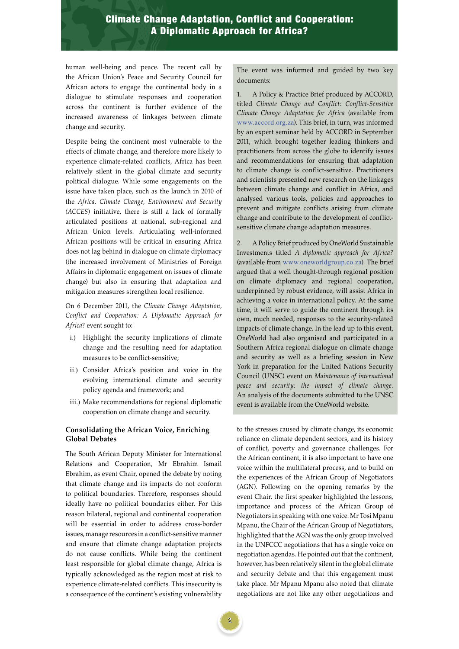## Climate Change Adaptation, Conflict and Cooperation: A Diplomatic Approach for Africa?

human well-being and peace. The recent call by the African Union's Peace and Security Council for African actors to engage the continental body in a dialogue to stimulate responses and cooperation across the continent is further evidence of the increased awareness of linkages between climate change and security.

Despite being the continent most vulnerable to the effects of climate change, and therefore more likely to experience climate-related conflicts, Africa has been relatively silent in the global climate and security political dialogue. While some engagements on the issue have taken place, such as the launch in 2010 of the *Africa, Climate Change, Environment and Security (ACCES*) initiative, there is still a lack of formally articulated positions at national, sub-regional and African Union levels. Articulating well-informed African positions will be critical in ensuring Africa does not lag behind in dialogue on climate diplomacy (the increased involvement of Ministries of Foreign Affairs in diplomatic engagement on issues of climate change) but also in ensuring that adaptation and mitigation measures strengthen local resilience.

On 6 December 2011, the *Climate Change Adaptation, Conflict and Cooperation: A Diplomatic Approach for Africa*? event sought to:

- i.) Highlight the security implications of climate change and the resulting need for adaptation measures to be conflict-sensitive;
- ii.) Consider Africa's position and voice in the evolving international climate and security policy agenda and framework; and
- iii.) Make recommendations for regional diplomatic cooperation on climate change and security.

### **Consolidating the African Voice, Enriching Global Debates**

The South African Deputy Minister for International Relations and Cooperation, Mr Ebrahim Ismail Ebrahim, as event Chair, opened the debate by noting that climate change and its impacts do not conform to political boundaries. Therefore, responses should ideally have no political boundaries either. For this reason bilateral, regional and continental cooperation will be essential in order to address cross-border issues, manage resources in a conflict-sensitive manner and ensure that climate change adaptation projects do not cause conflicts. While being the continent least responsible for global climate change, Africa is typically acknowledged as the region most at risk to experience climate-related conflicts. This insecurity is a consequence of the continent's existing vulnerability

The event was informed and guided by two key documents:

1. A Policy & Practice Brief produced by ACCORD, titled *Climate Change and Conflict: Conflict-Sensitive Climate Change Adaptation for Africa* (available from www.accord.org.za). This brief, in turn, was informed by an expert seminar held by ACCORD in September 2011, which brought together leading thinkers and practitioners from across the globe to identify issues and recommendations for ensuring that adaptation to climate change is conflict-sensitive. Practitioners and scientists presented new research on the linkages between climate change and conflict in Africa, and analysed various tools, policies and approaches to prevent and mitigate conflicts arising from climate change and contribute to the development of conflictsensitive climate change adaptation measures.

2. A Policy Brief produced by OneWorld Sustainable Investments titled *A diplomatic approach for Africa?* (available from www.oneworldgroup.co.za). The brief argued that a well thought-through regional position on climate diplomacy and regional cooperation, underpinned by robust evidence, will assist Africa in achieving a voice in international policy. At the same time, it will serve to guide the continent through its own, much needed, responses to the security-related impacts of climate change. In the lead up to this event, OneWorld had also organised and participated in a Southern Africa regional dialogue on climate change and security as well as a briefing session in New York in preparation for the United Nations Security Council (UNSC) event on *Maintenance of international peace and security: the impact of climate change.*  An analysis of the documents submitted to the UNSC event is available from the OneWorld website.

to the stresses caused by climate change, its economic reliance on climate dependent sectors, and its history of conflict, poverty and governance challenges. For the African continent, it is also important to have one voice within the multilateral process, and to build on the experiences of the African Group of Negotiators (AGN). Following on the opening remarks by the event Chair, the first speaker highlighted the lessons, importance and process of the African Group of Negotiators in speaking with one voice. Mr Tosi Mpanu Mpanu, the Chair of the African Group of Negotiators, highlighted that the AGN was the only group involved in the UNFCCC negotiations that has a single voice on negotiation agendas. He pointed out that the continent, however, has been relatively silent in the global climate and security debate and that this engagement must take place. Mr Mpanu Mpanu also noted that climate negotiations are not like any other negotiations and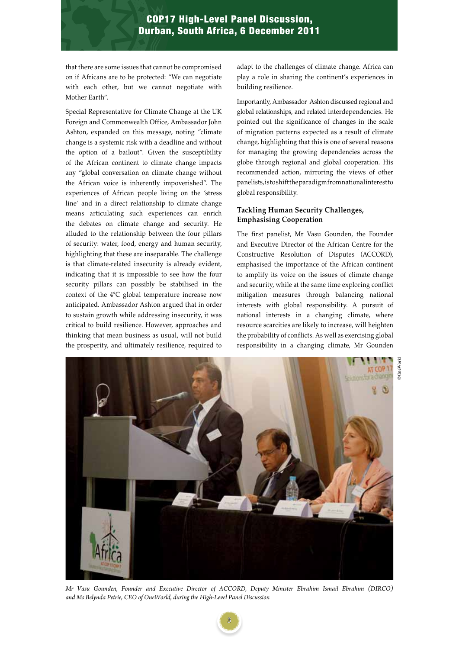### COP17 High-Level Panel Discussion, Durban, South Africa, 6 December 2011

that there are some issues that cannot be compromised on if Africans are to be protected: "We can negotiate with each other, but we cannot negotiate with Mother Earth".

Special Representative for Climate Change at the UK Foreign and Commonwealth Office, Ambassador John Ashton, expanded on this message, noting "climate change is a systemic risk with a deadline and without the option of a bailout". Given the susceptibility of the African continent to climate change impacts any "global conversation on climate change without the African voice is inherently impoverished". The experiences of African people living on the 'stress line' and in a direct relationship to climate change means articulating such experiences can enrich the debates on climate change and security. He alluded to the relationship between the four pillars of security: water, food, energy and human security, highlighting that these are inseparable. The challenge is that climate-related insecurity is already evident, indicating that it is impossible to see how the four security pillars can possibly be stabilised in the context of the 4°C global temperature increase now anticipated. Ambassador Ashton argued that in order to sustain growth while addressing insecurity, it was critical to build resilience. However, approaches and thinking that mean business as usual, will not build the prosperity, and ultimately resilience, required to

adapt to the challenges of climate change. Africa can play a role in sharing the continent's experiences in building resilience.

Importantly, Ambassador Ashton discussed regional and global relationships, and related interdependencies. He pointed out the significance of changes in the scale of migration patterns expected as a result of climate change, highlighting that this is one of several reasons for managing the growing dependencies across the globe through regional and global cooperation. His recommended action, mirroring the views of other panelists, is to shift the paradigm from national interest to global responsibility.

### **Tackling Human Security Challenges, Emphasising Cooperation**

The first panelist, Mr Vasu Gounden, the Founder and Executive Director of the African Centre for the Constructive Resolution of Disputes (ACCORD), emphasised the importance of the African continent to amplify its voice on the issues of climate change and security, while at the same time exploring conflict mitigation measures through balancing national interests with global responsibility. A pursuit of national interests in a changing climate, where resource scarcities are likely to increase, will heighten the probability of conflicts. As well as exercising global responsibility in a changing climate, Mr Gounden



*Mr Vasu Gounden, Founder and Executive Director of ACCORD, Deputy Minister Ebrahim Ismail Ebrahim (DIRCO) and Ms Belynda Petrie, CEO of OneWorld, during the High-Level Panel Discussion*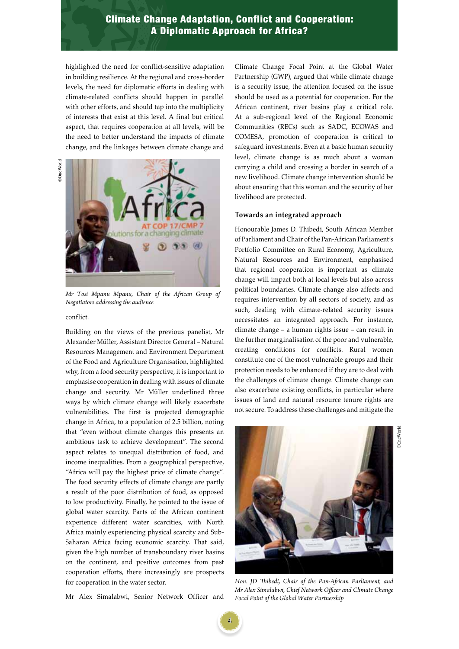## **C P 2 7 A Diplomatic Approach for Africa?** Climate Change Adaptation, Conflict and Cooperation:

highlighted the need for conflict-sensitive adaptation in building resilience. At the regional and cross-border levels, the need for diplomatic efforts in dealing with climate-related conflicts should happen in parallel with other efforts, and should tap into the multiplicity of interests that exist at this level. A final but critical aspect, that requires cooperation at all levels, will be the need to better understand the impacts of climate change, and the linkages between climate change and

**DoneWorld** ©OneWorld



*Mr Tosi Mpanu Mpanu, Chair of the African Group of Negotiators addressing the audience*

conflict.

Building on the views of the previous panelist, Mr Alexander Müller, Assistant Director General – Natural Resources Management and Environment Department of the Food and Agriculture Organisation, highlighted why, from a food security perspective, it is important to emphasise cooperation in dealing with issues of climate change and security. Mr Müller underlined three ways by which climate change will likely exacerbate vulnerabilities. The first is projected demographic change in Africa, to a population of 2.5 billion, noting that "even without climate changes this presents an ambitious task to achieve development". The second aspect relates to unequal distribution of food, and income inequalities. From a geographical perspective, "Africa will pay the highest price of climate change". The food security effects of climate change are partly a result of the poor distribution of food, as opposed to low productivity. Finally, he pointed to the issue of global water scarcity. Parts of the African continent experience different water scarcities, with North Africa mainly experiencing physical scarcity and Sub-Saharan Africa facing economic scarcity. That said, given the high number of transboundary river basins on the continent, and positive outcomes from past cooperation efforts, there increasingly are prospects for cooperation in the water sector.

Mr Alex Simalabwi, Senior Network Officer and

Climate Change Focal Point at the Global Water Partnership (GWP), argued that while climate change is a security issue, the attention focused on the issue should be used as a potential for cooperation. For the African continent, river basins play a critical role. At a sub-regional level of the Regional Economic Communities (RECs) such as SADC, ECOWAS and COMESA, promotion of cooperation is critical to safeguard investments. Even at a basic human security level, climate change is as much about a woman carrying a child and crossing a border in search of a new livelihood. Climate change intervention should be about ensuring that this woman and the security of her livelihood are protected.

### **Towards an integrated approach**

Honourable James D. Thibedi, South African Member of Parliament and Chair of the Pan-African Parliament's Portfolio Committee on Rural Economy, Agriculture, Natural Resources and Environment, emphasised that regional cooperation is important as climate change will impact both at local levels but also across political boundaries. Climate change also affects and requires intervention by all sectors of society, and as such, dealing with climate-related security issues necessitates an integrated approach. For instance, climate change – a human rights issue – can result in the further marginalisation of the poor and vulnerable, creating conditions for conflicts. Rural women constitute one of the most vulnerable groups and their protection needs to be enhanced if they are to deal with the challenges of climate change. Climate change can also exacerbate existing conflicts, in particular where issues of land and natural resource tenure rights are not secure. To address these challenges and mitigate the



*Hon. JD Thibedi, Chair of the Pan-African Parliament, and Mr Alex Simalabwi, Chief Network Officer and Climate Change Focal Point of the Global Water Partnership*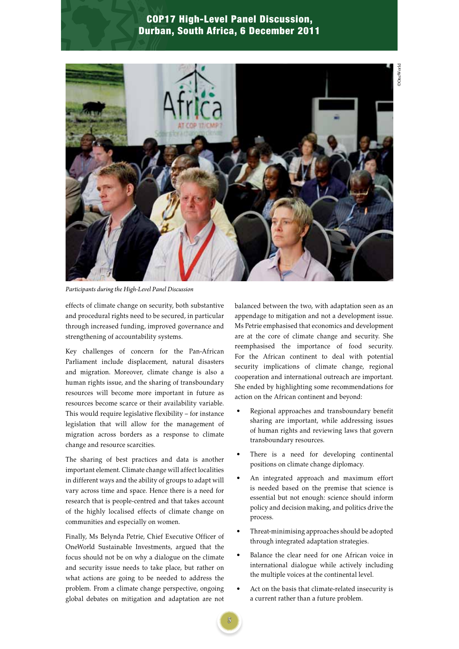# **C CO P 2011 Durban, South Africa, 6 December 2011** COP17 High-Level Panel Discussion,



*Participants during the High-Level Panel Discussion*

effects of climate change on security, both substantive and procedural rights need to be secured, in particular through increased funding, improved governance and strengthening of accountability systems.

Key challenges of concern for the Pan-African Parliament include displacement, natural disasters and migration. Moreover, climate change is also a human rights issue, and the sharing of transboundary resources will become more important in future as resources become scarce or their availability variable. This would require legislative flexibility – for instance legislation that will allow for the management of migration across borders as a response to climate change and resource scarcities.

The sharing of best practices and data is another important element. Climate change will affect localities in different ways and the ability of groups to adapt will vary across time and space. Hence there is a need for research that is people-centred and that takes account of the highly localised effects of climate change on communities and especially on women.

Finally, Ms Belynda Petrie, Chief Executive Officer of OneWorld Sustainable Investments, argued that the focus should not be on why a dialogue on the climate and security issue needs to take place, but rather on what actions are going to be needed to address the problem. From a climate change perspective, ongoing global debates on mitigation and adaptation are not

balanced between the two, with adaptation seen as an appendage to mitigation and not a development issue. Ms Petrie emphasised that economics and development are at the core of climate change and security. She reemphasised the importance of food security. For the African continent to deal with potential security implications of climate change, regional cooperation and international outreach are important. She ended by highlighting some recommendations for action on the African continent and beyond:

- Regional approaches and transboundary benefit sharing are important, while addressing issues of human rights and reviewing laws that govern transboundary resources.
- There is a need for developing continental positions on climate change diplomacy.
- An integrated approach and maximum effort is needed based on the premise that science is essential but not enough: science should inform policy and decision making, and politics drive the process.
- Threat-minimising approaches should be adopted through integrated adaptation strategies.
- Balance the clear need for one African voice in international dialogue while actively including the multiple voices at the continental level.
- Act on the basis that climate-related insecurity is a current rather than a future problem.